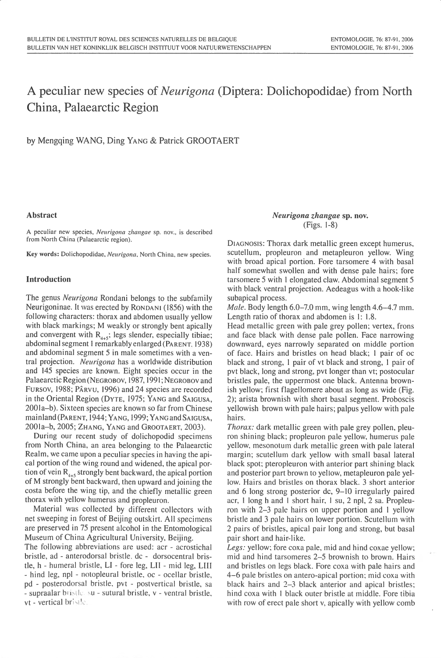# A peculiar new species of *Neurigona* (Diptera: Dolichopodidae) from North China, Palaearctic Region

by Mengqing WANG, Ding YANG & Patrick GROOTAERT

### **Abstract**

A peculiar new species, Neurigona zhangae sp. nov., is described from North China (Palaearctic region).

Key words: Dolichopodidae, Neurigona, North China, new species.

## **Introduction**

The genus *Neurigona* Rondani belongs to the subfamily Neurigoninae. It was erected by RONDANI (1856) with the following characters: thorax and abdomen usually yellow with black markings; M weakly or strongly bent apically and convergent with  $R_{4+5}$ ; legs slender, especially tibiae; abdominal segment 1 remarkably enlarged (PARENT, 1938) and abdominal segment 5 in male sometimes with a ventral projection. Neurigona has a worldwide distribution and 145 species are known. Eight species occur in the Palaearctic Region (NEGROBOV, 1987, 1991; NEGROBOV and FURSOV, 1988; PÂRVU, 1996) and 24 species are recorded in the Oriental Region (DYTE, 1975; YANG and SAIGUSA, 2001a–b). Sixteen species are known so far from Chinese mainland (PARENT, 1944; YANG, 1999; YANG and SAIGUSA, 2001a-b, 2005; ZHANG, YANG and GROOTAERT, 2003).

During our recent study of dolichopodid specimens from North China, an area belonging to the Palaearctic Realm, we came upon a peculiar species in having the apical portion of the wing round and widened, the apical portion of vein  $R_{4+5}$  strongly bent backward, the apical portion of M strongly bent backward, then upward and joining the costa before the wing tip, and the chiefly metallic green thorax with yellow humerus and propleuron.

Material was collected by different collectors with net sweeping in forest of Beijing outskirt. All specimens are preserved in 75 present alcohol in the Entomological Museum of China Agricultural University, Beijing.

The following abbreviations are used: acr - acrostichal bristle, ad - anterodorsal bristle, dc - dorsocentral bristle, h - humeral bristle, LI - fore leg, LII - mid leg, LIII - hind leg, npl - notopleural bristle, oc - ocellar bristle, pd - posterodorsal bristle, pvt - postvertical bristle, sa - supraalar bristlessu - sutural bristle, v - ventral bristle, vt - vertical bristle.

## Neurigona zhangae sp. nov. (Figs. 1-8)

DIAGNOSIS: Thorax dark metallic green except humerus, scutellum, propleuron and metapleuron yellow. Wing with broad apical portion. Fore tarsomere 4 with basal half somewhat swollen and with dense pale hairs; fore tarsomere 5 with 1 elongated claw. Abdominal segment 5 with black ventral projection. Aedeagus with a hook-like subapical process.

Male. Body length 6.0-7.0 mm, wing length 4.6-4.7 mm. Length ratio of thorax and abdomen is 1: 1.8.

Head metallic green with pale grey pollen; vertex, frons and face black with dense pale pollen. Face narrowing downward, eyes narrowly separated on middle portion of face. Hairs and bristles on head black; 1 pair of oc black and strong, 1 pair of vt black and strong, 1 pair of pvt black, long and strong, pvt longer than vt; postocular bristles pale, the uppermost one black. Antenna brownish yellow; first flagellomere about as long as wide (Fig. 2); arista brownish with short basal segment. Proboscis yellowish brown with pale hairs; palpus yellow with pale hairs.

*Thorax:* dark metallic green with pale grey pollen, pleuron shining black; propleuron pale yellow, humerus pale yellow, mesonotum dark metallic green with pale lateral margin; scutellum dark yellow with small basal lateral black spot; pteropleuron with anterior part shining black and posterior part brown to yellow, metapleuron pale yellow. Hairs and bristles on thorax black. 3 short anterior and 6 long strong posterior dc, 9–10 irregularly paired acr, 1 long h and 1 short hair, 1 su, 2 npl, 2 sa. Propleuron with 2-3 pale hairs on upper portion and 1 yellow bristle and 3 pale hairs on lower portion. Scutellum with 2 pairs of bristles, apical pair long and strong, but basal pair short and hair-like.

Legs: yellow; fore coxa pale, mid and hind coxae yellow; mid and hind tarsomeres 2–5 brownish to brown. Hairs and bristles on legs black. Fore coxa with pale hairs and 4–6 pale bristles on antero-apical portion; mid coxa with black hairs and 2-3 black anterior and apical bristles; hind coxa with 1 black outer bristle at middle. Fore tibia with row of erect pale short v, apically with yellow comb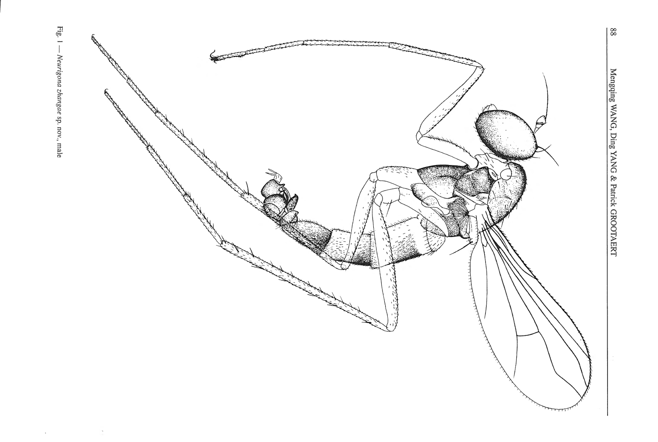

Fig. 1 -- Neurigona zhangae sp. nov., male

 $\bar{\gamma}$ 

 $\Delta$ 

 $\frac{8}{8}$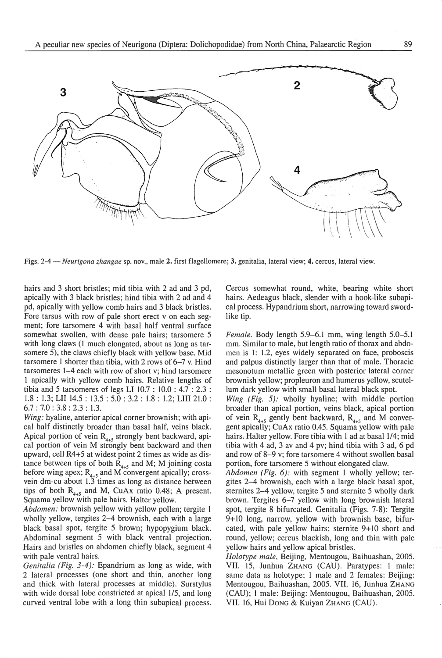

Figs. 2-4- *Neurigona zhangae* sp. nov., male 2. first flagellomere; 3. genitalia, lateral view; 4. cercus, lateral view.

hairs and 3 short bristles; mid tibia with 2 ad and 3 pd, apically with 3 black bristles; hind tibia with 2 ad and 4 pd, apically with yellow comb hairs and 3 black bristles. Fore tarsus with row of pale short erect v on each segment; fore tarsomere 4 with basal half ventral surface somewhat swollen, with dense pale hairs; tarsomere 5 with long claws (1 much elongated, about as long as tarsomere 5), the claws chiefly black with yellow base. Mid tarsomere 1 shorter than tibia, with 2 rows of 6-7 v. Hind tarsomeres 1-4 each with row of short v; hind tarsomere 1 apically with yellow comb hairs. Relative lengths of tibia and 5 tarsomeres of legs LI 10.7 : lO.O : 4.7 : 2.3 : l.8 : 1.3; LII 14.5 : 13.5 : 5.0 : 3.2 : 1.8 : L.2; LIII 21.0 : 6.7 : 7.0 : 3.8 : 2.3 : 1.3.

*Wing:* hyaline, anterior apical corner brownish; with apical half distinctly broader than basal half, veins black. Apical portion of vein  $R_{4+5}$  strongly bent backward, apical portion of vein M strongly bent backward and then upward, cell R4+5 at widest point 2 times as wide as distance between tips of both  $R_{4+5}$  and M; M joining costa before wing apex;  $R_{4+5}$  and M convergent apically; crossvein dm-cu about 1.3 times as long as distance between tips of both  $R_{4+5}$  and M, CuAx ratio 0.48; A present. Squama yellow with pale hairs. Halter yellow.

*Abdomen:* brownish yellow with yellow pollen; tergite I wholly yellow, tergites 2-4 brownish, each with a large black basal spot, tergite 5 brown; hypopygium black. Abdominal segment 5 with black ventral projection. Hairs and bristles on abdomen chiefly black, segment 4 with pale ventral hairs.

*Genitalia (Fig. 3-4 ):* Epandrium as long as wide, with 2 lateral processes (one short and thin, another long and thick with lateral processes at middle). Surstylus with wide dorsal lobe constricted at apical 1/5, and long curved ventral lobe with a long thin subapical process. Cercus somewhat round, white, bearing white short hairs. Aedeagus black, slender with a hook-like subapical process. Hypandrium short, narrowing toward swordlike tip.

*Female.* Body length 5.9-6.1 mm, wing length 5.0-5.1 mm. Similar to male, but length ratio of thorax and abdomen is I: 1.2, eyes widely separated on face, proboscis and palpus distinctly larger than that of male. Thoracic mesonotum metallic green with posterior lateral corner brownish yellow; propleuron and humerus yellow, scutellum dark yellow with small basal lateral black spot.

*Wing (Fig. 5):* wholly hyaline; with middle portion broader than apical portion, veins black, apical portion of vein  $R_{4+5}$  gently bent backward,  $R_{4+5}$  and M convergent apically; CuAx ratio 0.45. Squama yellow with pale hairs. Halter yellow. Fore tibia with 1 ad at basal 1/4; mid tibia with 4 ad, 3 av and 4 pv; hind tibia with 3 ad, 6 pd and row of 8-9 v; fore tarsomere 4 without swollen basal portion, fore tarsomere 5 without elongated claw.

*Abdomen (Fig. 6):* with segment I wholly yellow; tergites 2-4 brownish, each with a large black basal spot, sternites 2-4 yellow, tergite 5 and sternite 5 wholly dark brown. Tergites 6-7 yellow with long brownish lateral spot, tergite 8 bifurcated. Genitalia (Figs. 7-8): Tergite 9+ 10 long, narrow, yellow with brownish base, bifurcated, with pale yellow hairs; sternite 9+10 short and round, yellow; cercus blackish, long and thin with pale yellow hairs and yellow apical bristles.

..

*Holotype male,* Beijing, Mentougou, Baihuashan, 2005. VII. 15, Junhua ZHANG (CAU). Paratypes: I male: same data as holotype; I male and 2 females: Beijing: Mentougou, Baihuashan, 2005. VII. 16, Junhua ZHANG (CAU); 1 male: Beijing: Mentougou, Baihuashan, 2005. Vll. 16, Hui DONG & Kuiyan ZHANG (CAU).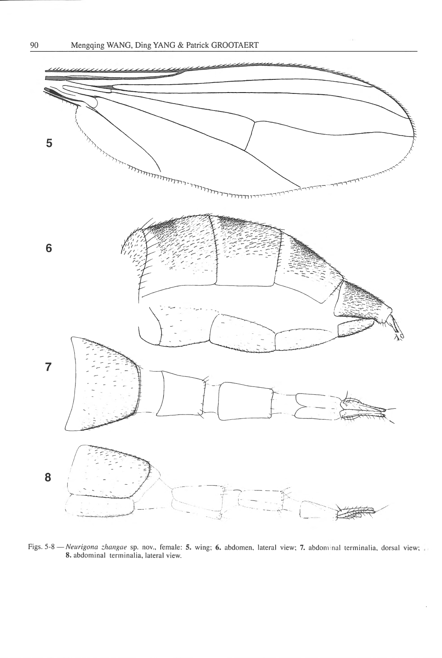

Figs. 5-8 *- Neurigona zhangae* sp. nov., female: 5. wing; 6. abdomen, lateral view; 7. abdominal terminalia, dorsal view; 8. abdominal terminalia, lateral view.